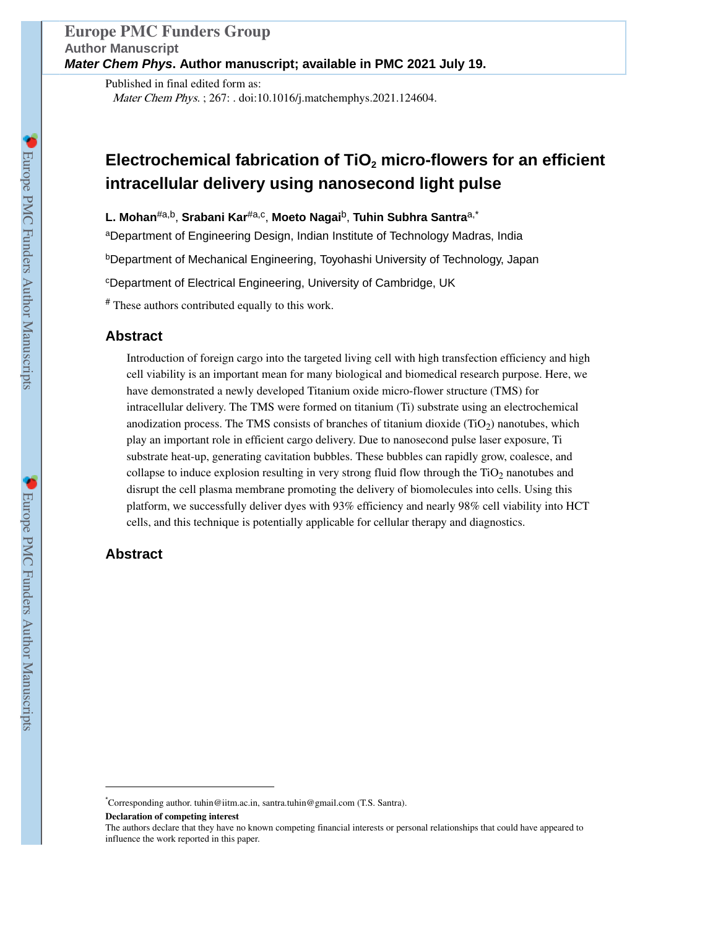Published in final edited form as: Mater Chem Phys. ; 267: . doi:10.1016/j.matchemphys.2021.124604.

# **Electrochemical fabrication of TiO2 micro-flowers for an efficient intracellular delivery using nanosecond light pulse**

**L. Mohan**#a,b, **Srabani Kar**#a,c , **Moeto Nagai**b, **Tuhin Subhra Santra**a,\*

aDepartment of Engineering Design, Indian Institute of Technology Madras, India

<sup>b</sup>Department of Mechanical Engineering, Toyohashi University of Technology, Japan

<sup>c</sup>Department of Electrical Engineering, University of Cambridge, UK

# These authors contributed equally to this work.

# **Abstract**

Introduction of foreign cargo into the targeted living cell with high transfection efficiency and high cell viability is an important mean for many biological and biomedical research purpose. Here, we have demonstrated a newly developed Titanium oxide micro-flower structure (TMS) for intracellular delivery. The TMS were formed on titanium (Ti) substrate using an electrochemical anodization process. The TMS consists of branches of titanium dioxide  $(TiO<sub>2</sub>)$  nanotubes, which play an important role in efficient cargo delivery. Due to nanosecond pulse laser exposure, Ti substrate heat-up, generating cavitation bubbles. These bubbles can rapidly grow, coalesce, and collapse to induce explosion resulting in very strong fluid flow through the  $TiO<sub>2</sub>$  nanotubes and disrupt the cell plasma membrane promoting the delivery of biomolecules into cells. Using this platform, we successfully deliver dyes with 93% efficiency and nearly 98% cell viability into HCT cells, and this technique is potentially applicable for cellular therapy and diagnostics.

# **Abstract**

<sup>\*</sup>Corresponding author. tuhin@iitm.ac.in, santra.tuhin@gmail.com (T.S. Santra).

**Declaration of competing interest** 

The authors declare that they have no known competing financial interests or personal relationships that could have appeared to influence the work reported in this paper.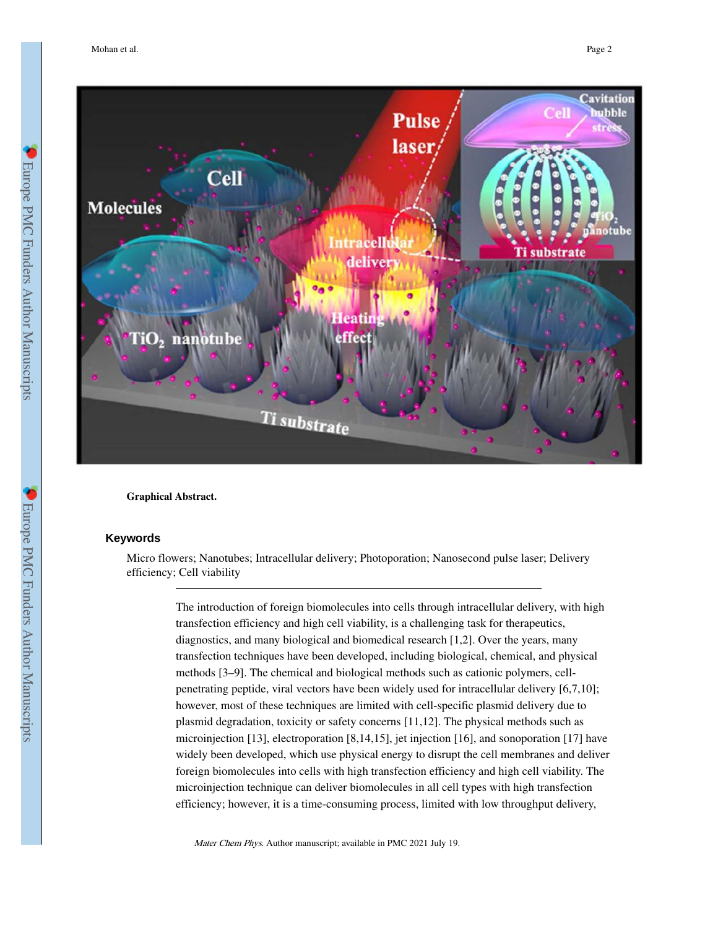

**Graphical Abstract.** 

#### **Keywords**

Micro flowers; Nanotubes; Intracellular delivery; Photoporation; Nanosecond pulse laser; Delivery efficiency; Cell viability

> The introduction of foreign biomolecules into cells through intracellular delivery, with high transfection efficiency and high cell viability, is a challenging task for therapeutics, diagnostics, and many biological and biomedical research [1,2]. Over the years, many transfection techniques have been developed, including biological, chemical, and physical methods [3–9]. The chemical and biological methods such as cationic polymers, cellpenetrating peptide, viral vectors have been widely used for intracellular delivery [6,7,10]; however, most of these techniques are limited with cell-specific plasmid delivery due to plasmid degradation, toxicity or safety concerns [11,12]. The physical methods such as microinjection [13], electroporation [8,14,15], jet injection [16], and sonoporation [17] have widely been developed, which use physical energy to disrupt the cell membranes and deliver foreign biomolecules into cells with high transfection efficiency and high cell viability. The microinjection technique can deliver biomolecules in all cell types with high transfection efficiency; however, it is a time-consuming process, limited with low throughput delivery,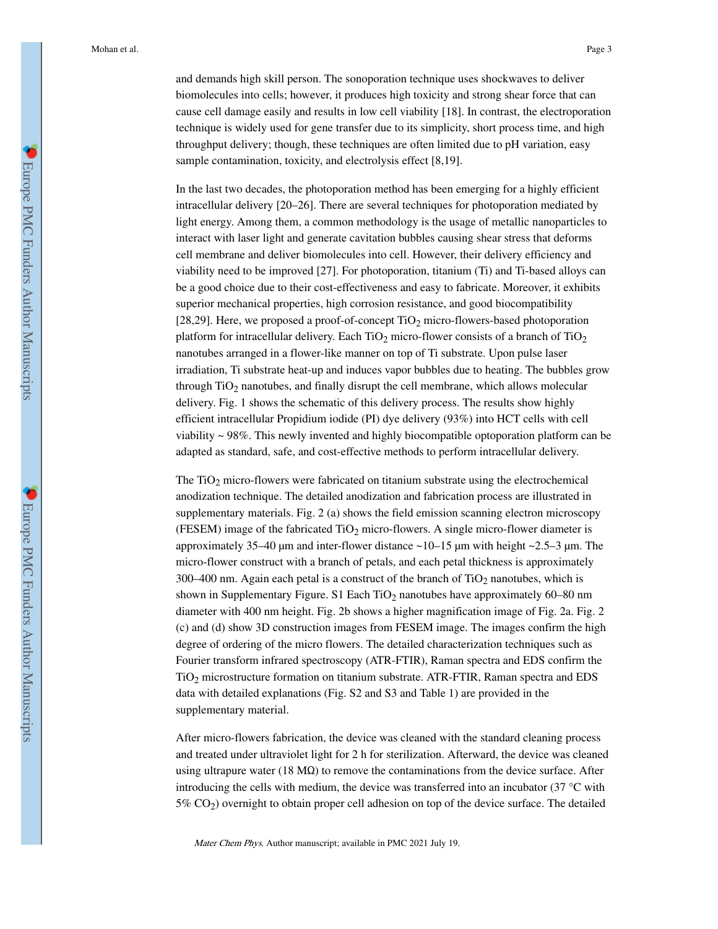and demands high skill person. The sonoporation technique uses shockwaves to deliver biomolecules into cells; however, it produces high toxicity and strong shear force that can cause cell damage easily and results in low cell viability [18]. In contrast, the electroporation technique is widely used for gene transfer due to its simplicity, short process time, and high throughput delivery; though, these techniques are often limited due to pH variation, easy sample contamination, toxicity, and electrolysis effect [8,19].

In the last two decades, the photoporation method has been emerging for a highly efficient intracellular delivery [20–26]. There are several techniques for photoporation mediated by light energy. Among them, a common methodology is the usage of metallic nanoparticles to interact with laser light and generate cavitation bubbles causing shear stress that deforms cell membrane and deliver biomolecules into cell. However, their delivery efficiency and viability need to be improved [27]. For photoporation, titanium (Ti) and Ti-based alloys can be a good choice due to their cost-effectiveness and easy to fabricate. Moreover, it exhibits superior mechanical properties, high corrosion resistance, and good biocompatibility [28,29]. Here, we proposed a proof-of-concept  $TiO<sub>2</sub>$  micro-flowers-based photoporation platform for intracellular delivery. Each  $TiO<sub>2</sub>$  micro-flower consists of a branch of  $TiO<sub>2</sub>$ nanotubes arranged in a flower-like manner on top of Ti substrate. Upon pulse laser irradiation, Ti substrate heat-up and induces vapor bubbles due to heating. The bubbles grow through  $TiO<sub>2</sub>$  nanotubes, and finally disrupt the cell membrane, which allows molecular delivery. Fig. 1 shows the schematic of this delivery process. The results show highly efficient intracellular Propidium iodide (PI) dye delivery (93%) into HCT cells with cell viability ~ 98%. This newly invented and highly biocompatible optoporation platform can be adapted as standard, safe, and cost-effective methods to perform intracellular delivery.

The  $TiO<sub>2</sub>$  micro-flowers were fabricated on titanium substrate using the electrochemical anodization technique. The detailed anodization and fabrication process are illustrated in supplementary materials. Fig. 2 (a) shows the field emission scanning electron microscopy (FESEM) image of the fabricated  $TiO<sub>2</sub>$  micro-flowers. A single micro-flower diameter is approximately 35–40 μm and inter-flower distance ~10–15 μm with height ~2.5–3 μm. The micro-flower construct with a branch of petals, and each petal thickness is approximately 300–400 nm. Again each petal is a construct of the branch of  $TiO<sub>2</sub>$  nanotubes, which is shown in Supplementary Figure. S1 Each  $TiO<sub>2</sub>$  nanotubes have approximately 60–80 nm diameter with 400 nm height. Fig. 2b shows a higher magnification image of Fig. 2a. Fig. 2 (c) and (d) show 3D construction images from FESEM image. The images confirm the high degree of ordering of the micro flowers. The detailed characterization techniques such as Fourier transform infrared spectroscopy (ATR-FTIR), Raman spectra and EDS confirm the TiO2 microstructure formation on titanium substrate. ATR-FTIR, Raman spectra and EDS data with detailed explanations (Fig. S2 and S3 and Table 1) are provided in the supplementary material.

After micro-flowers fabrication, the device was cleaned with the standard cleaning process and treated under ultraviolet light for 2 h for sterilization. Afterward, the device was cleaned using ultrapure water (18 M $\Omega$ ) to remove the contaminations from the device surface. After introducing the cells with medium, the device was transferred into an incubator (37 °C with 5% CO2) overnight to obtain proper cell adhesion on top of the device surface. The detailed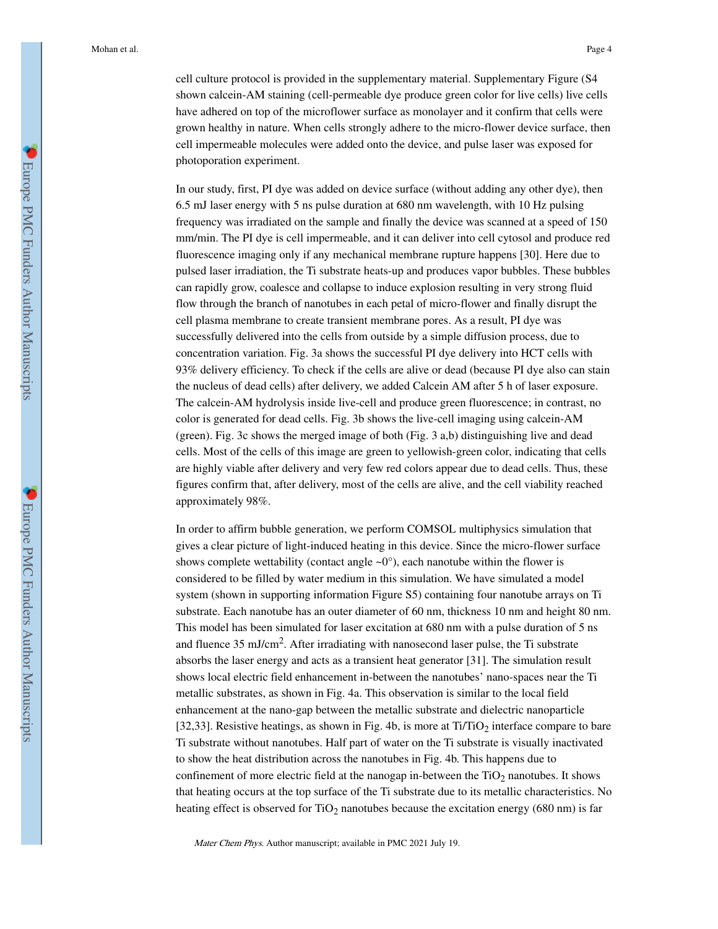cell culture protocol is provided in the supplementary material. Supplementary Figure (S4 shown calcein-AM staining (cell-permeable dye produce green color for live cells) live cells have adhered on top of the microflower surface as monolayer and it confirm that cells were grown healthy in nature. When cells strongly adhere to the micro-flower device surface, then cell impermeable molecules were added onto the device, and pulse laser was exposed for photoporation experiment.

In our study, first, PI dye was added on device surface (without adding any other dye), then 6.5 mJ laser energy with 5 ns pulse duration at 680 nm wavelength, with 10 Hz pulsing frequency was irradiated on the sample and finally the device was scanned at a speed of 150 mm/min. The PI dye is cell impermeable, and it can deliver into cell cytosol and produce red fluorescence imaging only if any mechanical membrane rupture happens [30]. Here due to pulsed laser irradiation, the Ti substrate heats-up and produces vapor bubbles. These bubbles can rapidly grow, coalesce and collapse to induce explosion resulting in very strong fluid flow through the branch of nanotubes in each petal of micro-flower and finally disrupt the cell plasma membrane to create transient membrane pores. As a result, PI dye was successfully delivered into the cells from outside by a simple diffusion process, due to concentration variation. Fig. 3a shows the successful PI dye delivery into HCT cells with 93% delivery efficiency. To check if the cells are alive or dead (because PI dye also can stain the nucleus of dead cells) after delivery, we added Calcein AM after 5 h of laser exposure. The calcein-AM hydrolysis inside live-cell and produce green fluorescence; in contrast, no color is generated for dead cells. Fig. 3b shows the live-cell imaging using calcein-AM (green). Fig. 3c shows the merged image of both (Fig. 3 a,b) distinguishing live and dead cells. Most of the cells of this image are green to yellowish-green color, indicating that cells are highly viable after delivery and very few red colors appear due to dead cells. Thus, these figures confirm that, after delivery, most of the cells are alive, and the cell viability reached approximately 98%.

In order to affirm bubble generation, we perform COMSOL multiphysics simulation that gives a clear picture of light-induced heating in this device. Since the micro-flower surface shows complete wettability (contact angle  $\sim 0^\circ$ ), each nanotube within the flower is considered to be filled by water medium in this simulation. We have simulated a model system (shown in supporting information Figure S5) containing four nanotube arrays on Ti substrate. Each nanotube has an outer diameter of 60 nm, thickness 10 nm and height 80 nm. This model has been simulated for laser excitation at 680 nm with a pulse duration of 5 ns and fluence 35 mJ/cm<sup>2</sup>. After irradiating with nanosecond laser pulse, the Ti substrate absorbs the laser energy and acts as a transient heat generator [31]. The simulation result shows local electric field enhancement in-between the nanotubes' nano-spaces near the Ti metallic substrates, as shown in Fig. 4a. This observation is similar to the local field enhancement at the nano-gap between the metallic substrate and dielectric nanoparticle [32,33]. Resistive heatings, as shown in Fig. 4b, is more at  $Ti/TiO<sub>2</sub>$  interface compare to bare Ti substrate without nanotubes. Half part of water on the Ti substrate is visually inactivated to show the heat distribution across the nanotubes in Fig. 4b. This happens due to confinement of more electric field at the nanogap in-between the  $TiO<sub>2</sub>$  nanotubes. It shows that heating occurs at the top surface of the Ti substrate due to its metallic characteristics. No heating effect is observed for  $TiO<sub>2</sub>$  nanotubes because the excitation energy (680 nm) is far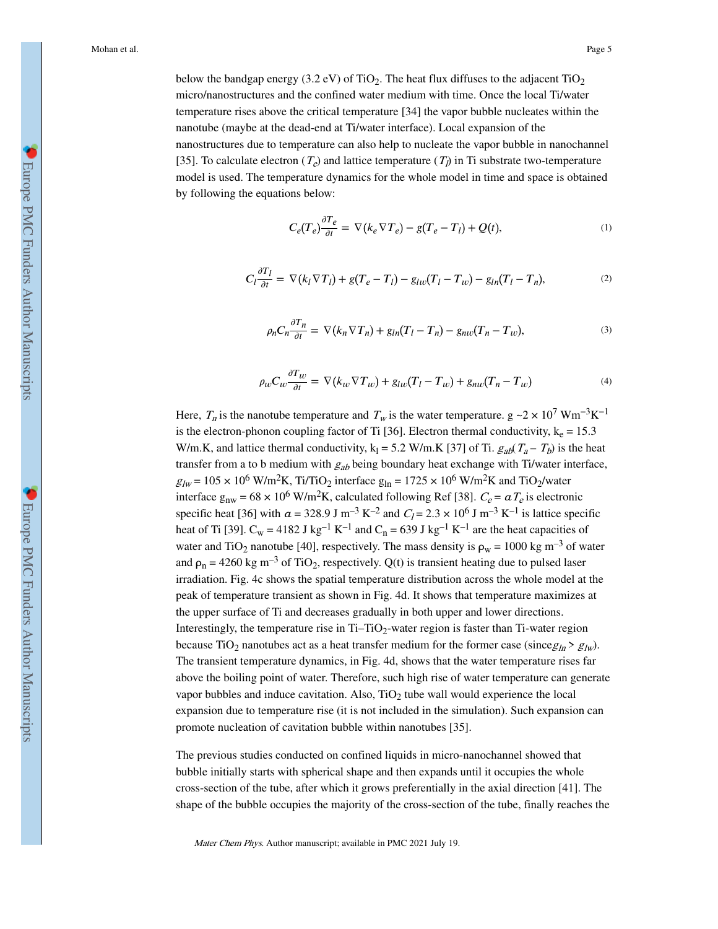below the bandgap energy (3.2 eV) of TiO<sub>2</sub>. The heat flux diffuses to the adjacent TiO<sub>2</sub> micro/nanostructures and the confined water medium with time. Once the local Ti/water temperature rises above the critical temperature [34] the vapor bubble nucleates within the nanotube (maybe at the dead-end at Ti/water interface). Local expansion of the nanostructures due to temperature can also help to nucleate the vapor bubble in nanochannel [35]. To calculate electron  $(T_e)$  and lattice temperature  $(T_l)$  in Ti substrate two-temperature model is used. The temperature dynamics for the whole model in time and space is obtained by following the equations below:

$$
C_e(T_e)\frac{\partial T_e}{\partial t} = \nabla (k_e \nabla T_e) - g(T_e - T_l) + Q(t),\tag{1}
$$

$$
C_l \frac{\partial T_l}{\partial t} = \nabla (k_l \nabla T_l) + g(T_e - T_l) - g_{lw}(T_l - T_w) - g_{ln}(T_l - T_n), \tag{2}
$$

$$
\rho_n C_n \frac{\partial T_n}{\partial t} = \nabla (k_n \nabla T_n) + g_{ln}(T_l - T_n) - g_{nw}(T_n - T_w), \tag{3}
$$

$$
\rho_w C_w \frac{\partial T_w}{\partial t} = \nabla (k_w \nabla T_w) + g_{lw} (T_l - T_w) + g_{nw} (T_n - T_w)
$$
\n<sup>(4)</sup>

Here,  $T_n$  is the nanotube temperature and  $T_w$  is the water temperature.  $g \sim 2 \times 10^7 \text{ Wm}^{-3} \text{K}^{-1}$ is the electron-phonon coupling factor of Ti [36]. Electron thermal conductivity,  $k_e = 15.3$ W/m.K, and lattice thermal conductivity,  $k_1 = 5.2$  W/m.K [37] of Ti.  $g_{ab}(T_a - T_b)$  is the heat transfer from a to b medium with  $g_{ab}$  being boundary heat exchange with Ti/water interface,  $g_{lw} = 105 \times 10^6$  W/m<sup>2</sup>K, Ti/TiO<sub>2</sub> interface  $g_{ln} = 1725 \times 10^6$  W/m<sup>2</sup>K and TiO<sub>2</sub>/water interface  $g_{nw} = 68 \times 10^6$  W/m<sup>2</sup>K, calculated following Ref [38].  $C_e = \alpha T_e$  is electronic specific heat [36] with  $a = 328.9 \text{ J m}^{-3} \text{ K}^{-2}$  and  $C_I = 2.3 \times 10^6 \text{ J m}^{-3} \text{ K}^{-1}$  is lattice specific heat of Ti [39].  $C_w = 4182$  J kg<sup>-1</sup> K<sup>-1</sup> and  $C_n = 639$  J kg<sup>-1</sup> K<sup>-1</sup> are the heat capacities of water and TiO<sub>2</sub> nanotube [40], respectively. The mass density is  $\rho_w = 1000 \text{ kg m}^{-3}$  of water and  $\rho_n = 4260 \text{ kg m}^{-3}$  of TiO<sub>2</sub>, respectively. Q(t) is transient heating due to pulsed laser irradiation. Fig. 4c shows the spatial temperature distribution across the whole model at the peak of temperature transient as shown in Fig. 4d. It shows that temperature maximizes at the upper surface of Ti and decreases gradually in both upper and lower directions. Interestingly, the temperature rise in  $Ti$ – $TiO<sub>2</sub>$ -water region is faster than  $Ti$ -water region because TiO<sub>2</sub> nanotubes act as a heat transfer medium for the former case (since  $g_{ln} > g_{lw}$ ). The transient temperature dynamics, in Fig. 4d, shows that the water temperature rises far above the boiling point of water. Therefore, such high rise of water temperature can generate vapor bubbles and induce cavitation. Also,  $TiO<sub>2</sub>$  tube wall would experience the local expansion due to temperature rise (it is not included in the simulation). Such expansion can promote nucleation of cavitation bubble within nanotubes [35].

The previous studies conducted on confined liquids in micro-nanochannel showed that bubble initially starts with spherical shape and then expands until it occupies the whole cross-section of the tube, after which it grows preferentially in the axial direction [41]. The shape of the bubble occupies the majority of the cross-section of the tube, finally reaches the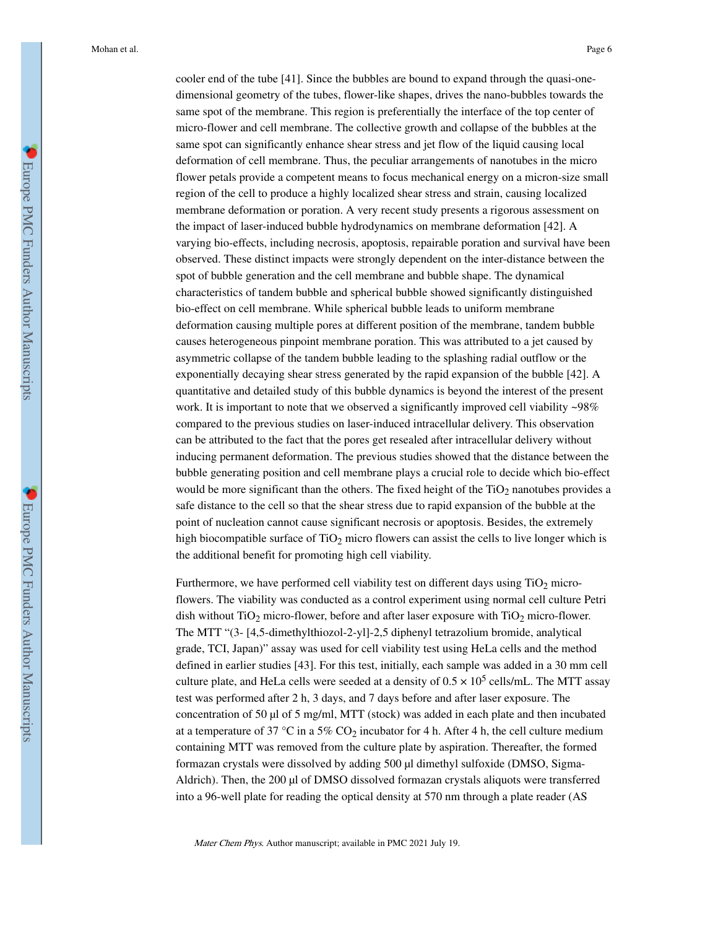cooler end of the tube [41]. Since the bubbles are bound to expand through the quasi-onedimensional geometry of the tubes, flower-like shapes, drives the nano-bubbles towards the same spot of the membrane. This region is preferentially the interface of the top center of micro-flower and cell membrane. The collective growth and collapse of the bubbles at the same spot can significantly enhance shear stress and jet flow of the liquid causing local deformation of cell membrane. Thus, the peculiar arrangements of nanotubes in the micro flower petals provide a competent means to focus mechanical energy on a micron-size small region of the cell to produce a highly localized shear stress and strain, causing localized membrane deformation or poration. A very recent study presents a rigorous assessment on the impact of laser-induced bubble hydrodynamics on membrane deformation [42]. A varying bio-effects, including necrosis, apoptosis, repairable poration and survival have been observed. These distinct impacts were strongly dependent on the inter-distance between the spot of bubble generation and the cell membrane and bubble shape. The dynamical characteristics of tandem bubble and spherical bubble showed significantly distinguished bio-effect on cell membrane. While spherical bubble leads to uniform membrane deformation causing multiple pores at different position of the membrane, tandem bubble causes heterogeneous pinpoint membrane poration. This was attributed to a jet caused by asymmetric collapse of the tandem bubble leading to the splashing radial outflow or the exponentially decaying shear stress generated by the rapid expansion of the bubble [42]. A quantitative and detailed study of this bubble dynamics is beyond the interest of the present work. It is important to note that we observed a significantly improved cell viability ~98% compared to the previous studies on laser-induced intracellular delivery. This observation can be attributed to the fact that the pores get resealed after intracellular delivery without inducing permanent deformation. The previous studies showed that the distance between the bubble generating position and cell membrane plays a crucial role to decide which bio-effect would be more significant than the others. The fixed height of the TiO<sub>2</sub> nanotubes provides a safe distance to the cell so that the shear stress due to rapid expansion of the bubble at the point of nucleation cannot cause significant necrosis or apoptosis. Besides, the extremely high biocompatible surface of  $TiO<sub>2</sub>$  micro flowers can assist the cells to live longer which is the additional benefit for promoting high cell viability.

Furthermore, we have performed cell viability test on different days using  $TiO<sub>2</sub>$  microflowers. The viability was conducted as a control experiment using normal cell culture Petri dish without  $TiO<sub>2</sub>$  micro-flower, before and after laser exposure with  $TiO<sub>2</sub>$  micro-flower. The MTT "(3- [4,5-dimethylthiozol-2-yl]-2,5 diphenyl tetrazolium bromide, analytical grade, TCI, Japan)" assay was used for cell viability test using HeLa cells and the method defined in earlier studies [43]. For this test, initially, each sample was added in a 30 mm cell culture plate, and HeLa cells were seeded at a density of  $0.5 \times 10^5$  cells/mL. The MTT assay test was performed after 2 h, 3 days, and 7 days before and after laser exposure. The concentration of 50 μl of 5 mg/ml, MTT (stock) was added in each plate and then incubated at a temperature of 37 °C in a 5% CO<sub>2</sub> incubator for 4 h. After 4 h, the cell culture medium containing MTT was removed from the culture plate by aspiration. Thereafter, the formed formazan crystals were dissolved by adding 500 μl dimethyl sulfoxide (DMSO, Sigma-Aldrich). Then, the 200 μl of DMSO dissolved formazan crystals aliquots were transferred into a 96-well plate for reading the optical density at 570 nm through a plate reader (AS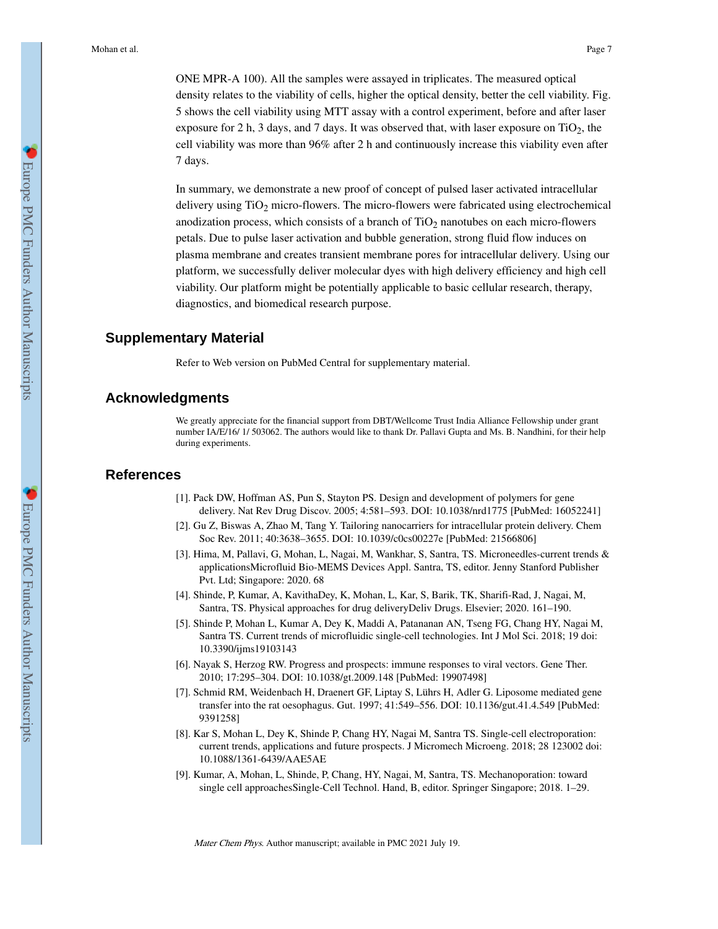ONE MPR-A 100). All the samples were assayed in triplicates. The measured optical density relates to the viability of cells, higher the optical density, better the cell viability. Fig. 5 shows the cell viability using MTT assay with a control experiment, before and after laser exposure for 2 h, 3 days, and 7 days. It was observed that, with laser exposure on  $TiO<sub>2</sub>$ , the cell viability was more than 96% after 2 h and continuously increase this viability even after 7 days.

In summary, we demonstrate a new proof of concept of pulsed laser activated intracellular delivery using  $TiO<sub>2</sub>$  micro-flowers. The micro-flowers were fabricated using electrochemical anodization process, which consists of a branch of  $TiO<sub>2</sub>$  nanotubes on each micro-flowers petals. Due to pulse laser activation and bubble generation, strong fluid flow induces on plasma membrane and creates transient membrane pores for intracellular delivery. Using our platform, we successfully deliver molecular dyes with high delivery efficiency and high cell viability. Our platform might be potentially applicable to basic cellular research, therapy, diagnostics, and biomedical research purpose.

## **Supplementary Material**

Refer to Web version on PubMed Central for supplementary material.

#### **Acknowledgments**

We greatly appreciate for the financial support from DBT/Wellcome Trust India Alliance Fellowship under grant number IA/E/16/ 1/ 503062. The authors would like to thank Dr. Pallavi Gupta and Ms. B. Nandhini, for their help during experiments.

# **References**

- [1]. Pack DW, Hoffman AS, Pun S, Stayton PS. Design and development of polymers for gene delivery. Nat Rev Drug Discov. 2005; 4:581–593. DOI: 10.1038/nrd1775 [PubMed: 16052241]
- [2]. Gu Z, Biswas A, Zhao M, Tang Y. Tailoring nanocarriers for intracellular protein delivery. Chem Soc Rev. 2011; 40:3638–3655. DOI: 10.1039/c0cs00227e [PubMed: 21566806]
- [3]. Hima, M, Pallavi, G, Mohan, L, Nagai, M, Wankhar, S, Santra, TS. Microneedles-current trends & applicationsMicrofluid Bio-MEMS Devices Appl. Santra, TS, editor. Jenny Stanford Publisher Pvt. Ltd; Singapore: 2020. 68
- [4]. Shinde, P, Kumar, A, KavithaDey, K, Mohan, L, Kar, S, Barik, TK, Sharifi-Rad, J, Nagai, M, Santra, TS. Physical approaches for drug deliveryDeliv Drugs. Elsevier; 2020. 161–190.
- [5]. Shinde P, Mohan L, Kumar A, Dey K, Maddi A, Patananan AN, Tseng FG, Chang HY, Nagai M, Santra TS. Current trends of microfluidic single-cell technologies. Int J Mol Sci. 2018; 19 doi: 10.3390/ijms19103143
- [6]. Nayak S, Herzog RW. Progress and prospects: immune responses to viral vectors. Gene Ther. 2010; 17:295–304. DOI: 10.1038/gt.2009.148 [PubMed: 19907498]
- [7]. Schmid RM, Weidenbach H, Draenert GF, Liptay S, Lührs H, Adler G. Liposome mediated gene transfer into the rat oesophagus. Gut. 1997; 41:549–556. DOI: 10.1136/gut.41.4.549 [PubMed: 9391258]
- [8]. Kar S, Mohan L, Dey K, Shinde P, Chang HY, Nagai M, Santra TS. Single-cell electroporation: current trends, applications and future prospects. J Micromech Microeng. 2018; 28 123002 doi: 10.1088/1361-6439/AAE5AE
- [9]. Kumar, A, Mohan, L, Shinde, P, Chang, HY, Nagai, M, Santra, TS. Mechanoporation: toward single cell approachesSingle-Cell Technol. Hand, B, editor. Springer Singapore; 2018. 1–29.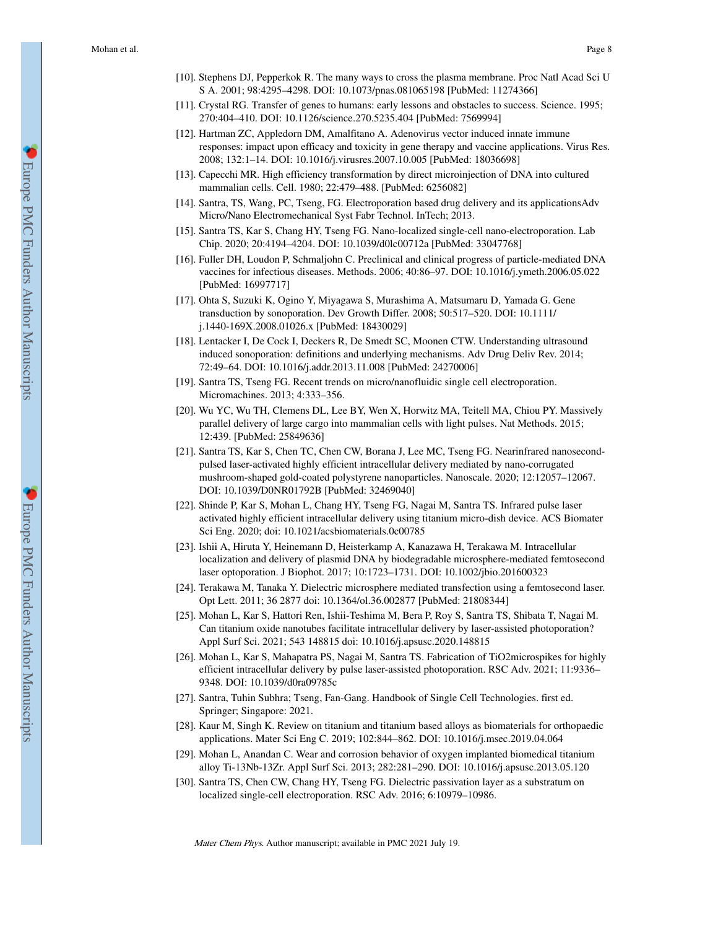- [10]. Stephens DJ, Pepperkok R. The many ways to cross the plasma membrane. Proc Natl Acad Sci U S A. 2001; 98:4295–4298. DOI: 10.1073/pnas.081065198 [PubMed: 11274366]
- [11]. Crystal RG. Transfer of genes to humans: early lessons and obstacles to success. Science. 1995; 270:404–410. DOI: 10.1126/science.270.5235.404 [PubMed: 7569994]
- [12]. Hartman ZC, Appledorn DM, Amalfitano A. Adenovirus vector induced innate immune responses: impact upon efficacy and toxicity in gene therapy and vaccine applications. Virus Res. 2008; 132:1–14. DOI: 10.1016/j.virusres.2007.10.005 [PubMed: 18036698]
- [13]. Capecchi MR. High efficiency transformation by direct microinjection of DNA into cultured mammalian cells. Cell. 1980; 22:479–488. [PubMed: 6256082]
- [14]. Santra, TS, Wang, PC, Tseng, FG. Electroporation based drug delivery and its applicationsAdv Micro/Nano Electromechanical Syst Fabr Technol. InTech; 2013.
- [15]. Santra TS, Kar S, Chang HY, Tseng FG. Nano-localized single-cell nano-electroporation. Lab Chip. 2020; 20:4194–4204. DOI: 10.1039/d0lc00712a [PubMed: 33047768]
- [16]. Fuller DH, Loudon P, Schmaljohn C. Preclinical and clinical progress of particle-mediated DNA vaccines for infectious diseases. Methods. 2006; 40:86–97. DOI: 10.1016/j.ymeth.2006.05.022 [PubMed: 16997717]
- [17]. Ohta S, Suzuki K, Ogino Y, Miyagawa S, Murashima A, Matsumaru D, Yamada G. Gene transduction by sonoporation. Dev Growth Differ. 2008; 50:517–520. DOI: 10.1111/ j.1440-169X.2008.01026.x [PubMed: 18430029]
- [18]. Lentacker I, De Cock I, Deckers R, De Smedt SC, Moonen CTW. Understanding ultrasound induced sonoporation: definitions and underlying mechanisms. Adv Drug Deliv Rev. 2014; 72:49–64. DOI: 10.1016/j.addr.2013.11.008 [PubMed: 24270006]
- [19]. Santra TS, Tseng FG. Recent trends on micro/nanofluidic single cell electroporation. Micromachines. 2013; 4:333–356.
- [20]. Wu YC, Wu TH, Clemens DL, Lee BY, Wen X, Horwitz MA, Teitell MA, Chiou PY. Massively parallel delivery of large cargo into mammalian cells with light pulses. Nat Methods. 2015; 12:439. [PubMed: 25849636]
- [21]. Santra TS, Kar S, Chen TC, Chen CW, Borana J, Lee MC, Tseng FG. Nearinfrared nanosecondpulsed laser-activated highly efficient intracellular delivery mediated by nano-corrugated mushroom-shaped gold-coated polystyrene nanoparticles. Nanoscale. 2020; 12:12057–12067. DOI: 10.1039/D0NR01792B [PubMed: 32469040]
- [22]. Shinde P, Kar S, Mohan L, Chang HY, Tseng FG, Nagai M, Santra TS. Infrared pulse laser activated highly efficient intracellular delivery using titanium micro-dish device. ACS Biomater Sci Eng. 2020; doi: 10.1021/acsbiomaterials.0c00785
- [23]. Ishii A, Hiruta Y, Heinemann D, Heisterkamp A, Kanazawa H, Terakawa M. Intracellular localization and delivery of plasmid DNA by biodegradable microsphere-mediated femtosecond laser optoporation. J Biophot. 2017; 10:1723–1731. DOI: 10.1002/jbio.201600323
- [24]. Terakawa M, Tanaka Y. Dielectric microsphere mediated transfection using a femtosecond laser. Opt Lett. 2011; 36 2877 doi: 10.1364/ol.36.002877 [PubMed: 21808344]
- [25]. Mohan L, Kar S, Hattori Ren, Ishii-Teshima M, Bera P, Roy S, Santra TS, Shibata T, Nagai M. Can titanium oxide nanotubes facilitate intracellular delivery by laser-assisted photoporation? Appl Surf Sci. 2021; 543 148815 doi: 10.1016/j.apsusc.2020.148815
- [26]. Mohan L, Kar S, Mahapatra PS, Nagai M, Santra TS. Fabrication of TiO2microspikes for highly efficient intracellular delivery by pulse laser-assisted photoporation. RSC Adv. 2021; 11:9336– 9348. DOI: 10.1039/d0ra09785c
- [27]. Santra, Tuhin Subhra; Tseng, Fan-Gang. Handbook of Single Cell Technologies. first ed. Springer; Singapore: 2021.
- [28]. Kaur M, Singh K. Review on titanium and titanium based alloys as biomaterials for orthopaedic applications. Mater Sci Eng C. 2019; 102:844–862. DOI: 10.1016/j.msec.2019.04.064
- [29]. Mohan L, Anandan C. Wear and corrosion behavior of oxygen implanted biomedical titanium alloy Ti-13Nb-13Zr. Appl Surf Sci. 2013; 282:281–290. DOI: 10.1016/j.apsusc.2013.05.120
- [30]. Santra TS, Chen CW, Chang HY, Tseng FG. Dielectric passivation layer as a substratum on localized single-cell electroporation. RSC Adv. 2016; 6:10979–10986.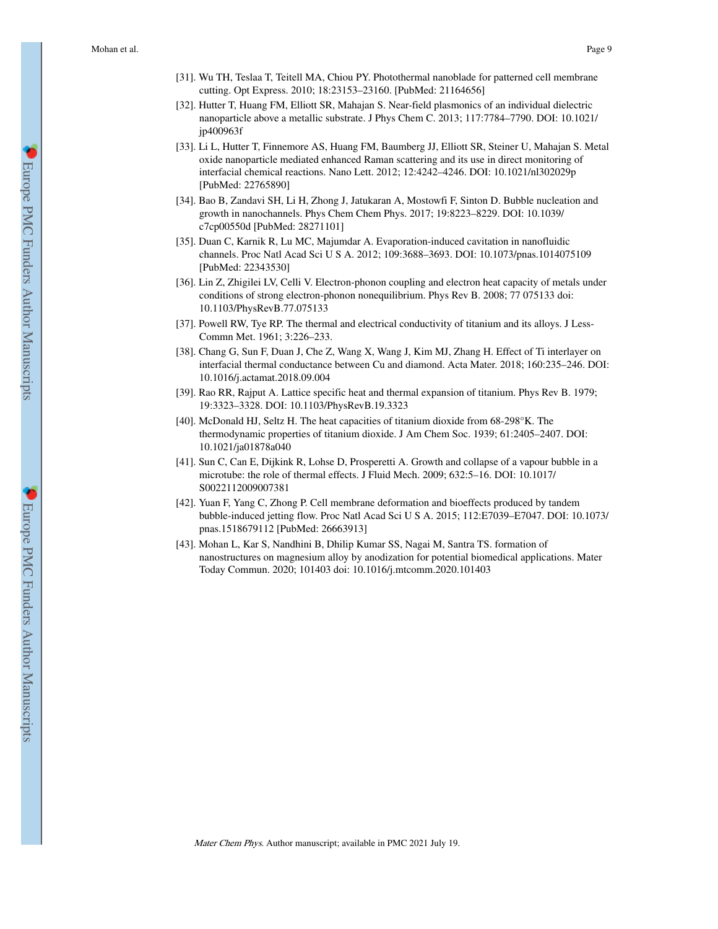- [31]. Wu TH, Teslaa T, Teitell MA, Chiou PY. Photothermal nanoblade for patterned cell membrane cutting. Opt Express. 2010; 18:23153–23160. [PubMed: 21164656]
- [32]. Hutter T, Huang FM, Elliott SR, Mahajan S. Near-field plasmonics of an individual dielectric nanoparticle above a metallic substrate. J Phys Chem C. 2013; 117:7784–7790. DOI: 10.1021/ jp400963f
- [33]. Li L, Hutter T, Finnemore AS, Huang FM, Baumberg JJ, Elliott SR, Steiner U, Mahajan S. Metal oxide nanoparticle mediated enhanced Raman scattering and its use in direct monitoring of interfacial chemical reactions. Nano Lett. 2012; 12:4242–4246. DOI: 10.1021/nl302029p [PubMed: 22765890]
- [34]. Bao B, Zandavi SH, Li H, Zhong J, Jatukaran A, Mostowfi F, Sinton D. Bubble nucleation and growth in nanochannels. Phys Chem Chem Phys. 2017; 19:8223–8229. DOI: 10.1039/ c7cp00550d [PubMed: 28271101]
- [35]. Duan C, Karnik R, Lu MC, Majumdar A. Evaporation-induced cavitation in nanofluidic channels. Proc Natl Acad Sci U S A. 2012; 109:3688–3693. DOI: 10.1073/pnas.1014075109 [PubMed: 22343530]
- [36]. Lin Z, Zhigilei LV, Celli V. Electron-phonon coupling and electron heat capacity of metals under conditions of strong electron-phonon nonequilibrium. Phys Rev B. 2008; 77 075133 doi: 10.1103/PhysRevB.77.075133
- [37]. Powell RW, Tye RP. The thermal and electrical conductivity of titanium and its alloys. J Less-Commn Met. 1961; 3:226–233.
- [38]. Chang G, Sun F, Duan J, Che Z, Wang X, Wang J, Kim MJ, Zhang H. Effect of Ti interlayer on interfacial thermal conductance between Cu and diamond. Acta Mater. 2018; 160:235–246. DOI: 10.1016/j.actamat.2018.09.004
- [39]. Rao RR, Rajput A. Lattice specific heat and thermal expansion of titanium. Phys Rev B. 1979; 19:3323–3328. DOI: 10.1103/PhysRevB.19.3323
- [40]. McDonald HJ, Seltz H. The heat capacities of titanium dioxide from 68-298°K. The thermodynamic properties of titanium dioxide. J Am Chem Soc. 1939; 61:2405–2407. DOI: 10.1021/ja01878a040
- [41]. Sun C, Can E, Dijkink R, Lohse D, Prosperetti A. Growth and collapse of a vapour bubble in a microtube: the role of thermal effects. J Fluid Mech. 2009; 632:5–16. DOI: 10.1017/ S0022112009007381
- [42]. Yuan F, Yang C, Zhong P. Cell membrane deformation and bioeffects produced by tandem bubble-induced jetting flow. Proc Natl Acad Sci U S A. 2015; 112:E7039–E7047. DOI: 10.1073/ pnas.1518679112 [PubMed: 26663913]
- [43]. Mohan L, Kar S, Nandhini B, Dhilip Kumar SS, Nagai M, Santra TS. formation of nanostructures on magnesium alloy by anodization for potential biomedical applications. Mater Today Commun. 2020; 101403 doi: 10.1016/j.mtcomm.2020.101403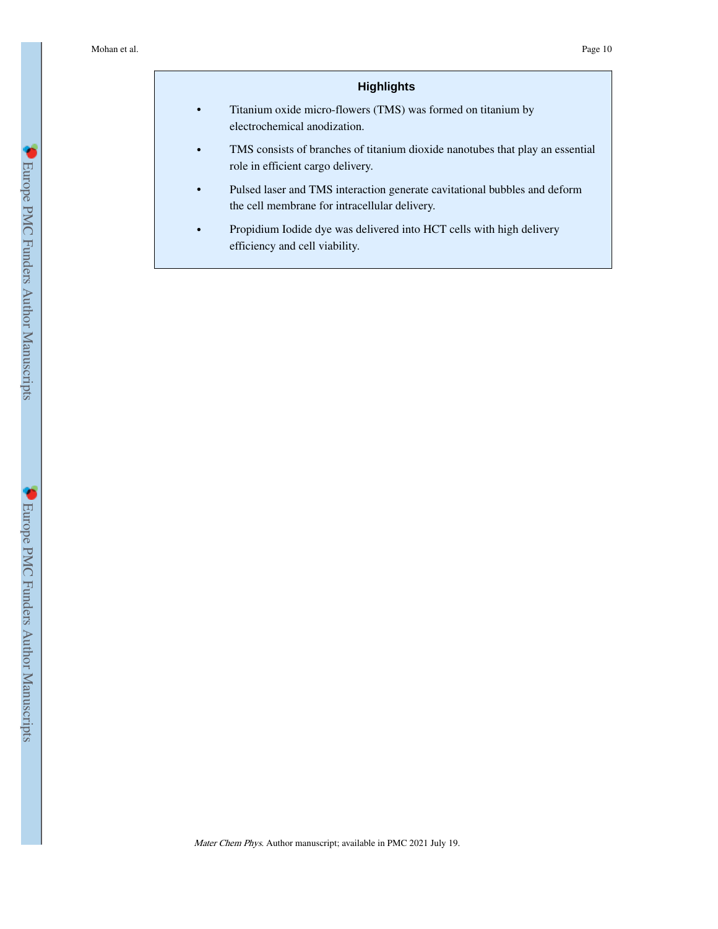## **Highlights**

- **•** Titanium oxide micro-flowers (TMS) was formed on titanium by electrochemical anodization.
- **•** TMS consists of branches of titanium dioxide nanotubes that play an essential role in efficient cargo delivery.
- **•** Pulsed laser and TMS interaction generate cavitational bubbles and deform the cell membrane for intracellular delivery.
- **•** Propidium Iodide dye was delivered into HCT cells with high delivery efficiency and cell viability.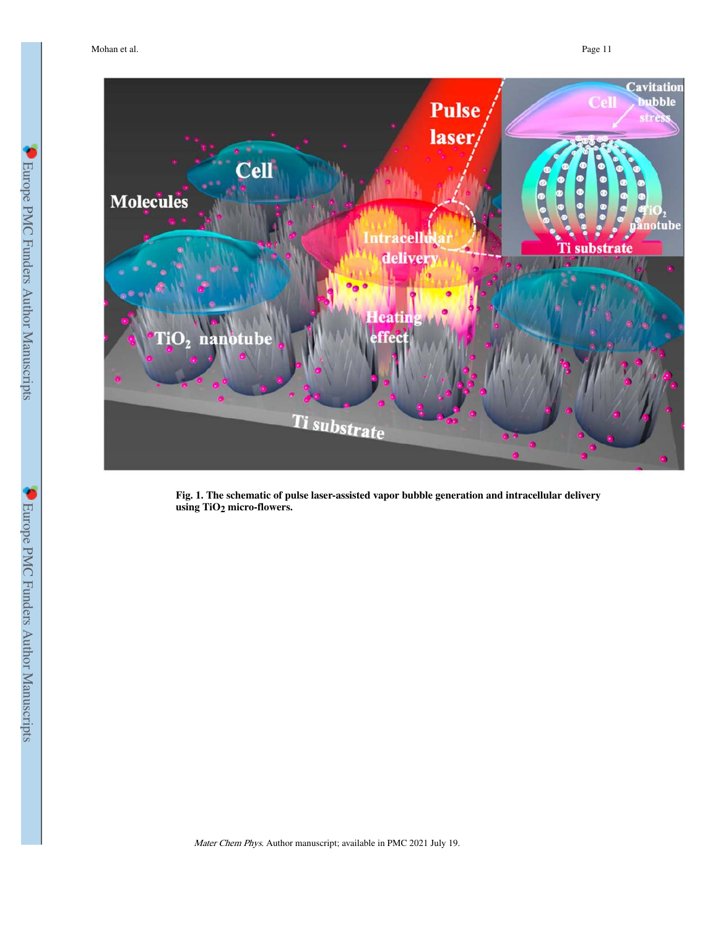

**Fig. 1. The schematic of pulse laser-assisted vapor bubble generation and intracellular delivery using TiO2 micro-flowers.**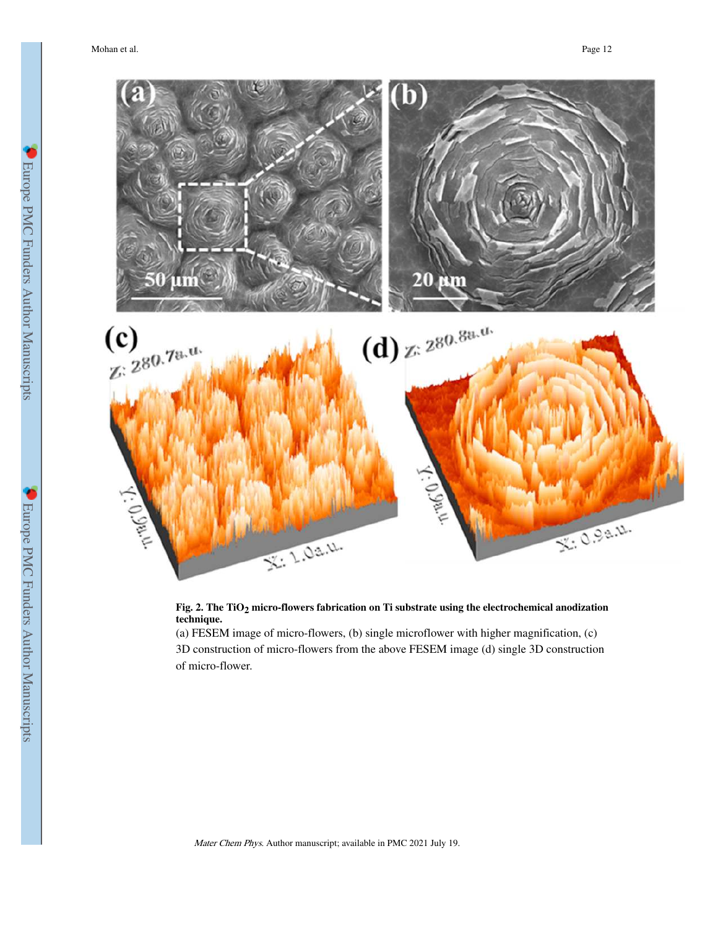

## **Fig. 2. The TiO2 micro-flowers fabrication on Ti substrate using the electrochemical anodization technique.**

(a) FESEM image of micro-flowers, (b) single microflower with higher magnification, (c) 3D construction of micro-flowers from the above FESEM image (d) single 3D construction of micro-flower.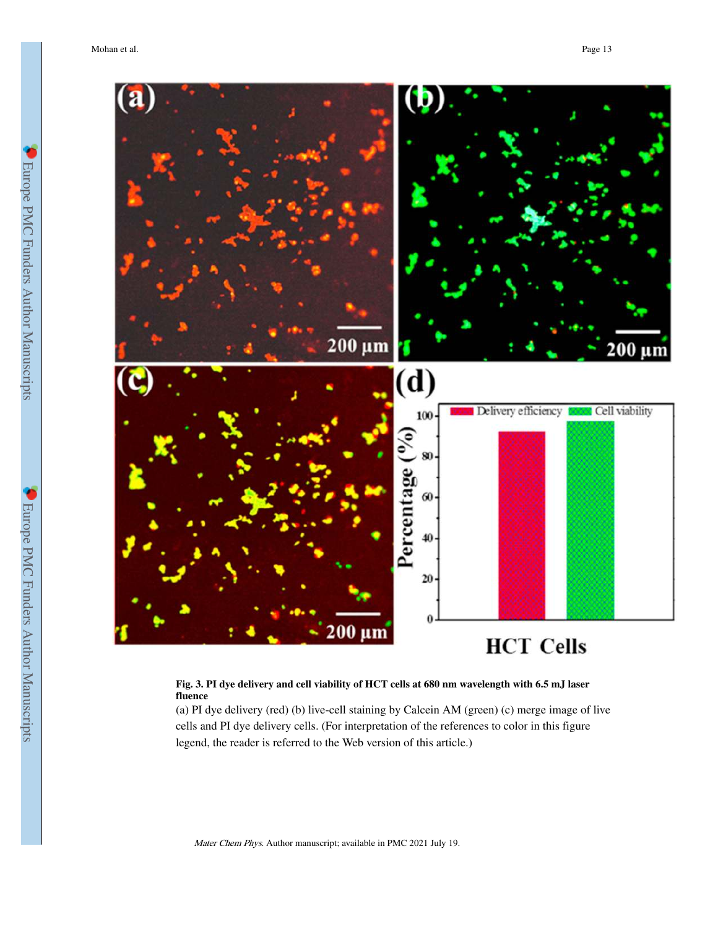

#### **Fig. 3. PI dye delivery and cell viability of HCT cells at 680 nm wavelength with 6.5 mJ laser fluence**

(a) PI dye delivery (red) (b) live-cell staining by Calcein AM (green) (c) merge image of live cells and PI dye delivery cells. (For interpretation of the references to color in this figure legend, the reader is referred to the Web version of this article.)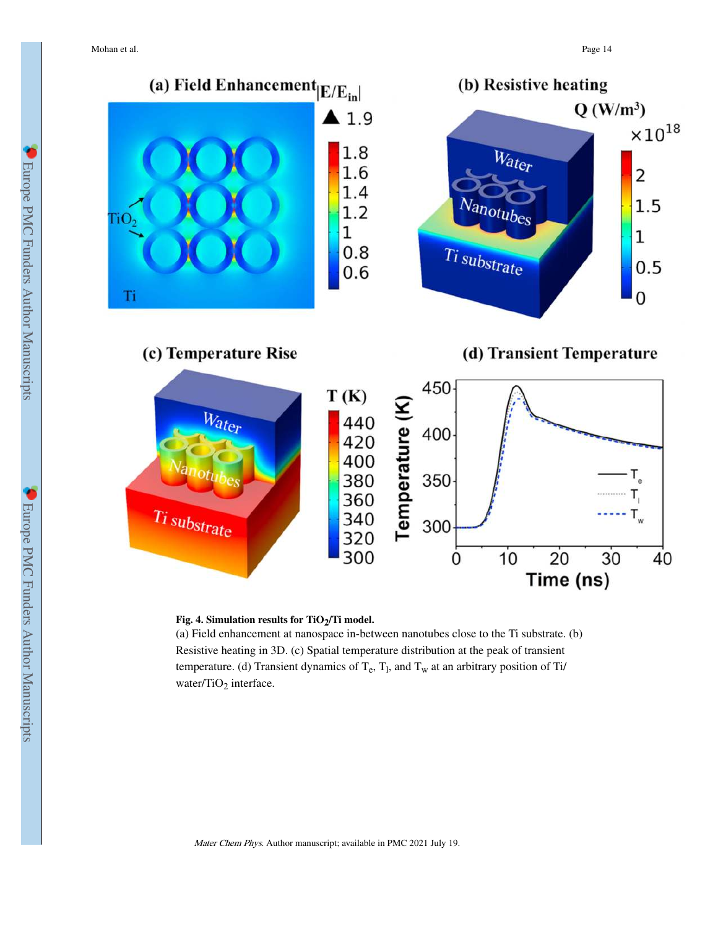

### **Fig. 4. Simulation results for TiO2/Ti model.**

(a) Field enhancement at nanospace in-between nanotubes close to the Ti substrate. (b) Resistive heating in 3D. (c) Spatial temperature distribution at the peak of transient temperature. (d) Transient dynamics of  $T_e$ ,  $T_l$ , and  $T_w$  at an arbitrary position of Ti/ water/TiO<sub>2</sub> interface.